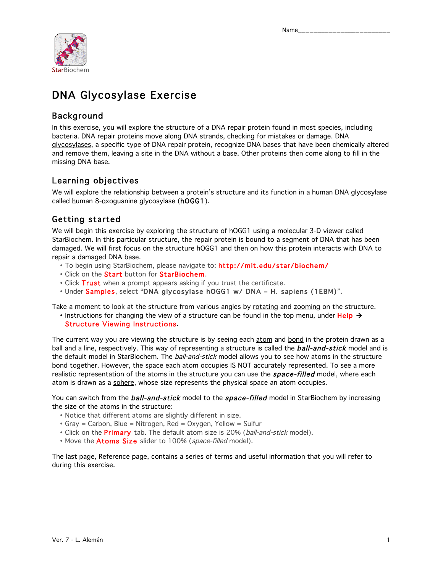

## DNA Glycosylase Exercise

## Background

In this exercise, you will explore the structure of a DNA repair protein found in most species, including bacteria. DNA repair proteins move along DNA strands, checking for mistakes or damage. DNA glycosylases, a specific type of DNA repair protein, recognize DNA bases that have been chemically altered and remove them, leaving a site in the DNA without a base. Other proteins then come along to fill in the missing DNA base.

## Learning objectives

We will explore the relationship between a protein's structure and its function in a human DNA glycosylase called human 8-oxoguanine glycosylase (hOGG1).

## Getting started

We will begin this exercise by exploring the structure of hOGG1 using a molecular 3-D viewer called StarBiochem. In this particular structure, the repair protein is bound to a segment of DNA that has been damaged. We will first focus on the structure hOGG1 and then on how this protein interacts with DNA to repair a damaged DNA base.

- To begin using StarBiochem, please navigate to: http://mit.edu/star/biochem/
- Click on the Start button for StarBiochem.
- Click Trust when a prompt appears asking if you trust the certificate.
- Under Samples, select "DNA glycosylase hOGG1 w/ DNA H. sapiens (1EBM)".

Take a moment to look at the structure from various angles by rotating and zooming on the structure.

• Instructions for changing the view of a structure can be found in the top menu, under Help  $\rightarrow$ Structure Viewing Instructions.

The current way you are viewing the structure is by seeing each atom and bond in the protein drawn as a ball and a line, respectively. This way of representing a structure is called the **ball-and-stick** model and is the default model in StarBiochem. The ball-and-stick model allows you to see how atoms in the structure bond together. However, the space each atom occupies IS NOT accurately represented. To see a more realistic representation of the atoms in the structure you can use the **space-filled** model, where each atom is drawn as a sphere, whose size represents the physical space an atom occupies.

You can switch from the **ball-and-stick** model to the **space-filled** model in StarBiochem by increasing the size of the atoms in the structure:

- Notice that different atoms are slightly different in size.
- Gray = Carbon, Blue = Nitrogen, Red = Oxygen, Yellow = Sulfur
- Click on the **Primary** tab. The default atom size is 20% (ball-and-stick model).
- Move the Atoms Size slider to 100% (space-filled model).

The last page, Reference page, contains a series of terms and useful information that you will refer to during this exercise.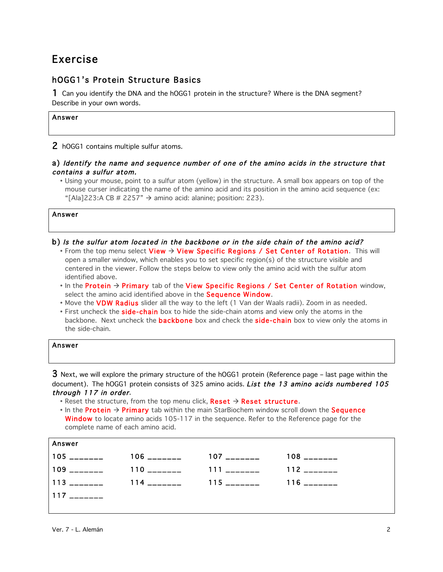## Exercise

## hOGG1's Protein Structure Basics

1 Can you identify the DNA and the hOGG1 protein in the structure? Where is the DNA segment? Describe in your own words.

#### Answer

2 hOGG1 contains multiple sulfur atoms.

#### a) Identify the name and sequence number of one of the amino acids in the structure that contains a sulfur atom.

• Using your mouse, point to a sulfur atom (yellow) in the structure. A small box appears on top of the mouse curser indicating the name of the amino acid and its position in the amino acid sequence (ex: "[Ala]223:A CB # 2257"  $\rightarrow$  amino acid: alanine; position: 223).

Answer

- b) Is the sulfur atom located in the backbone or in the side chain of the amino acid?
	- From the top menu select View  $\rightarrow$  View Specific Regions / Set Center of Rotation. This will open a smaller window, which enables you to set specific region(s) of the structure visible and centered in the viewer. Follow the steps below to view only the amino acid with the sulfur atom identified above.
	- In the Protein  $\rightarrow$  Primary tab of the View Specific Regions / Set Center of Rotation window, select the amino acid identified above in the Sequence Window.
	- Move the **VDW Radius** slider all the way to the left (1 Van der Waals radii). Zoom in as needed.
	- First uncheck the **side-chain** box to hide the side-chain atoms and view only the atoms in the backbone. Next uncheck the **backbone** box and check the **side-chain** box to view only the atoms in the side-chain.

| Answer |  |  |  |
|--------|--|--|--|
|        |  |  |  |

 $3$  Next, we will explore the primary structure of the hOGG1 protein (Reference page – last page within the document). The hOGG1 protein consists of 325 amino acids. List the 13 amino acids numbered 105 through 117 in order.

• Reset the structure, from the top menu click, Reset  $\rightarrow$  Reset structure.

• In the **Protein**  $\rightarrow$  **Primary** tab within the main StarBiochem window scroll down the **Sequence** Window to locate amino acids 105-117 in the sequence. Refer to the Reference page for the complete name of each amino acid.

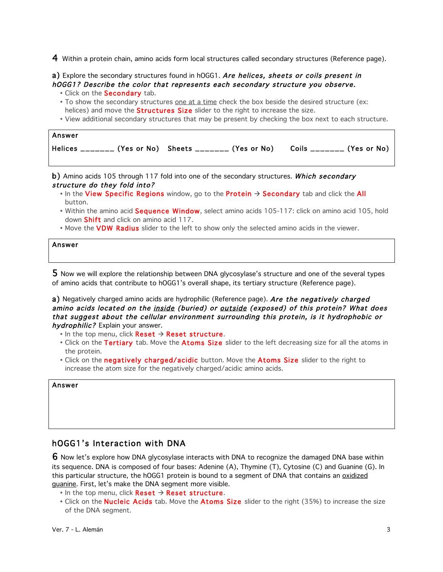4 Within a protein chain, amino acids form local structures called secondary structures (Reference page).

a) Explore the secondary structures found in hOGG1. Are helices, sheets or coils present in hOGG1? Describe the color that represents each secondary structure you observe.

- Click on the **Secondary** tab.
- To show the secondary structures one at a time check the box beside the desired structure (ex: helices) and move the **Structures Size** slider to the right to increase the size.
- View additional secondary structures that may be present by checking the box next to each structure.

| Answer |                                                                                   |  |
|--------|-----------------------------------------------------------------------------------|--|
|        | Helices _______ (Yes or No) Sheets _______ (Yes or No)  Coils _______ (Yes or No) |  |

b) Amino acids 105 through 117 fold into one of the secondary structures. Which secondary structure do they fold into?

- In the View Specific Regions window, go to the Protein  $\rightarrow$  Secondary tab and click the All button.
- Within the amino acid Sequence Window, select amino acids 105-117: click on amino acid 105, hold down Shift and click on amino acid 117.
- Move the **VDW Radius** slider to the left to show only the selected amino acids in the viewer.

Answer

5 Now we will explore the relationship between DNA glycosylase's structure and one of the several types of amino acids that contribute to hOGG1's overall shape, its tertiary structure (Reference page).

a) Negatively charged amino acids are hydrophilic (Reference page). Are the negatively charged amino acids located on the inside (buried) or outside (exposed) of this protein? What does that suggest about the cellular environment surrounding this protein, is it hydrophobic or hydrophilic? Explain your answer.

- $\bullet$  In the top menu, click Reset  $\rightarrow$  Reset structure.
- Click on the Tertiary tab. Move the Atoms Size slider to the left decreasing size for all the atoms in the protein.
- Click on the **negatively charged/acidic** button. Move the **Atoms Size** slider to the right to increase the atom size for the negatively charged/acidic amino acids.

#### Answer

### hOGG1's Interaction with DNA

6 Now let's explore how DNA glycosylase interacts with DNA to recognize the damaged DNA base within its sequence. DNA is composed of four bases: Adenine (A), Thymine (T), Cytosine (C) and Guanine (G). In this particular structure, the hOGG1 protein is bound to a segment of DNA that contains an oxidized guanine. First, let's make the DNA segment more visible.

- $\bullet$  In the top menu, click Reset  $\rightarrow$  Reset structure.
- Click on the **Nucleic Acids** tab. Move the **Atoms Size** slider to the right (35%) to increase the size of the DNA segment.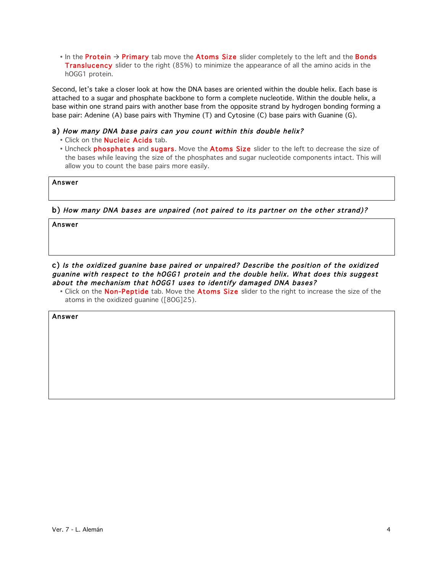• In the **Protein**  $\rightarrow$  **Primary** tab move the **Atoms Size** slider completely to the left and the **Bonds Translucency** slider to the right (85%) to minimize the appearance of all the amino acids in the hOGG1 protein.

Second, let's take a closer look at how the DNA bases are oriented within the double helix. Each base is attached to a sugar and phosphate backbone to form a complete nucleotide. Within the double helix, a base within one strand pairs with another base from the opposite strand by hydrogen bonding forming a base pair: Adenine (A) base pairs with Thymine (T) and Cytosine (C) base pairs with Guanine (G).

#### a) How many DNA base pairs can you count within this double helix?

- Click on the **Nucleic Acids** tab.
- Uncheck phosphates and sugars. Move the Atoms Size slider to the left to decrease the size of the bases while leaving the size of the phosphates and sugar nucleotide components intact. This will allow you to count the base pairs more easily.

#### Answer

#### b) How many DNA bases are unpaired (not paired to its partner on the other strand)?

Answer

#### c) Is the oxidized guanine base paired or unpaired? Describe the position of the oxidized guanine with respect to the hOGG1 protein and the double helix. What does this suggest about the mechanism that hOGG1 uses to identify damaged DNA bases?

• Click on the Non-Peptide tab. Move the Atoms Size slider to the right to increase the size of the atoms in the oxidized guanine ([8OG]25).

Answer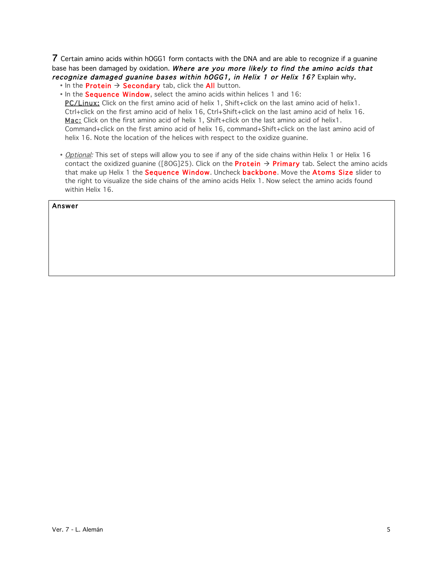7 Certain amino acids within hOGG1 form contacts with the DNA and are able to recognize if a guanine base has been damaged by oxidation. Where are you more likely to find the amino acids that recognize damaged guanine bases within hOGG1, in Helix 1 or Helix 16? Explain why.

• In the **Protein**  $\rightarrow$  **Secondary** tab, click the **All** button.

- In the Sequence Window, select the amino acids within helices 1 and 16: PC/Linux: Click on the first amino acid of helix 1, Shift+click on the last amino acid of helix1. Ctrl+click on the first amino acid of helix 16, Ctrl+Shift+click on the last amino acid of helix 16. Mac: Click on the first amino acid of helix 1, Shift+click on the last amino acid of helix1. Command+click on the first amino acid of helix 16, command+Shift+click on the last amino acid of helix 16. Note the location of the helices with respect to the oxidize guanine.
- Optional: This set of steps will allow you to see if any of the side chains within Helix 1 or Helix 16 contact the oxidized guanine ([80G]25). Click on the **Protein**  $\rightarrow$  **Primary** tab. Select the amino acids that make up Helix 1 the Sequence Window. Uncheck backbone. Move the Atoms Size slider to the right to visualize the side chains of the amino acids Helix 1. Now select the amino acids found within Helix 16.

#### Answer